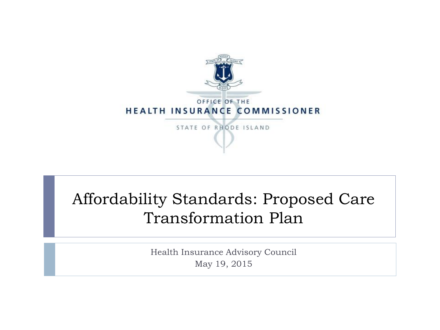

#### Affordability Standards: Proposed Care Transformation Plan

Health Insurance Advisory Council May 19, 2015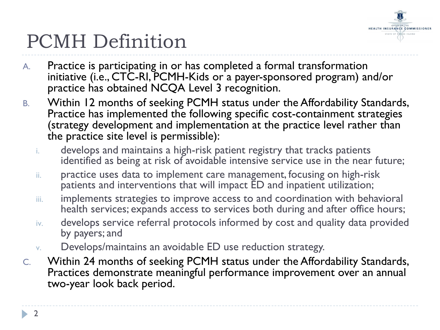

# PCMH Definition

- A. Practice is participating in or has completed a formal transformation initiative (i.e., CTC-RI, PCMH-Kids or a payer-sponsored program) and/or practice has obtained NCQA Level 3 recognition.
- B. Within 12 months of seeking PCMH status under the Affordability Standards, Practice has implemented the following specific cost-containment strategies (strategy development and implementation at the practice level rather than the practice site level is permissible):
	- i. develops and maintains a high-risk patient registry that tracks patients identified as being at risk of avoidable intensive service use in the near future;
	- ii. practice uses data to implement care management, focusing on high-risk patients and interventions that will impact ED and inpatient utilization;
	- iii. implements strategies to improve access to and coordination with behavioral health services; expands access to services both during and after office hours;
	- iv. develops service referral protocols informed by cost and quality data provided by payers; and
	- v. Develops/maintains an avoidable ED use reduction strategy.
- C. Within 24 months of seeking PCMH status under the Affordability Standards, Practices demonstrate meaningful performance improvement over an annual two-year look back period.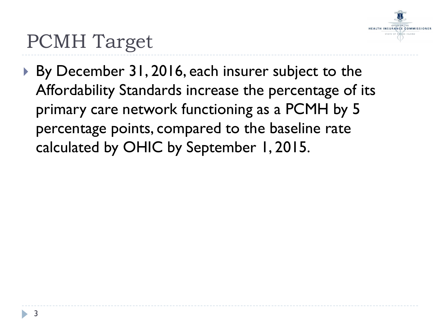

## PCMH Target

▶ By December 31, 2016, each insurer subject to the Affordability Standards increase the percentage of its primary care network functioning as a PCMH by 5 percentage points, compared to the baseline rate calculated by OHIC by September 1, 2015.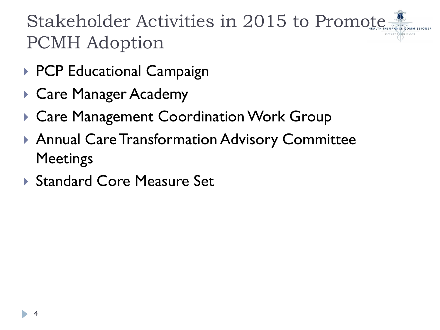Stakeholder Activities in 2015 to Promote PCMH Adoption

- ▶ PCP Educational Campaign
- ▶ Care Manager Academy
- ▶ Care Management Coordination Work Group
- Annual Care Transformation Advisory Committee **Meetings**
- ▶ Standard Core Measure Set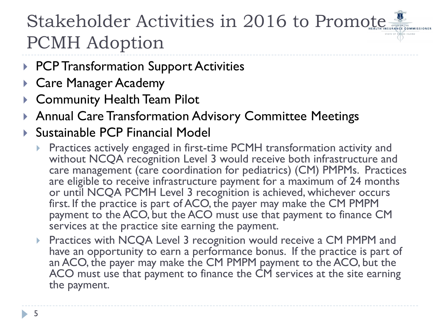### Stakeholder Activities in 2016 to Promote PCMH Adoption

- ▶ PCP Transformation Support Activities
- Care Manager Academy
- Community Health Team Pilot
- Annual Care Transformation Advisory Committee Meetings
- Sustainable PCP Financial Model
	- **Practices actively engaged in first-time PCMH transformation activity and** without NCQA recognition Level 3 would receive both infrastructure and care management (care coordination for pediatrics) (CM) PMPMs. Practices are eligible to receive infrastructure payment for a maximum of 24 months or until NCQA PCMH Level 3 recognition is achieved, whichever occurs first. If the practice is part of ACO, the payer may make the CM PMPM payment to the ACO, but the ACO must use that payment to finance CM services at the practice site earning the payment.
	- **Practices with NCQA Level 3 recognition would receive a CM PMPM and** have an opportunity to earn a performance bonus. If the practice is part of an ACO, the payer may make the CM PMPM payment to the ACO, but the ACO must use that payment to finance the CM services at the site earning the payment.